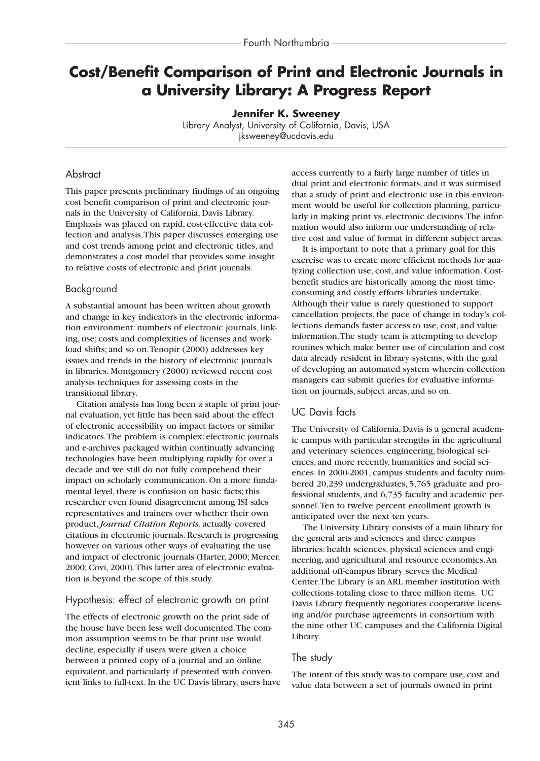# **Cost/Benefit Comparison of Print and Electronic Journals in a University Library: A Progress Report**

**Jennifer K. Sweeney** Library Analyst, University of California, Davis, USA jksweeney@ucdavis.edu

# **Abstract**

This paper presents preliminary findings of an ongoing cost benefit comparison of print and electronic journals in the University of California, Davis Library. Emphasis was placed on rapid, cost-effective data collection and analysis.This paper discusses emerging use and cost trends among print and electronic titles, and demonstrates a cost model that provides some insight to relative costs of electronic and print journals.

### Background

A substantial amount has been written about growth and change in key indicators in the electronic information environment: numbers of electronic journals, linking, use; costs and complexities of licenses and workload shifts; and so on.Tenopir (2000) addresses key issues and trends in the history of electronic journals in libraries. Montgomery (2000) reviewed recent cost analysis techniques for assessing costs in the transitional library.

Citation analysis has long been a staple of print journal evaluation, yet little has been said about the effect of electronic accessibility on impact factors or similar indicators.The problem is complex: electronic journals and e-archives packaged within continually advancing technologies have been multiplying rapidly for over a decade and we still do not fully comprehend their impact on scholarly communication. On a more fundamental level, there is confusion on basic facts; this researcher even found disagreement among ISI sales representatives and trainers over whether their own product,*Journal Citation Reports*, actually covered citations in electronic journals. Research is progressing however on various other ways of evaluating the use and impact of electronic journals (Harter, 2000; Mercer, 2000; Covi, 2000).This latter area of electronic evaluation is beyond the scope of this study.

#### Hypothesis: effect of electronic growth on print

The effects of electronic growth on the print side of the house have been less well documented.The common assumption seems to be that print use would decline, especially if users were given a choice between a printed copy of a journal and an online equivalent, and particularly if presented with convenient links to full-text. In the UC Davis library, users have access currently to a fairly large number of titles in dual print and electronic formats, and it was surmised that a study of print and electronic use in this environment would be useful for collection planning, particularly in making print vs. electronic decisions.The information would also inform our understanding of relative cost and value of format in different subject areas.

It is important to note that a primary goal for this exercise was to create more efficient methods for analyzing collection use, cost, and value information. Costbenefit studies are historically among the most timeconsuming and costly efforts libraries undertake. Although their value is rarely questioned to support cancellation projects, the pace of change in today's collections demands faster access to use, cost, and value information.The study team is attempting to develop routines which make better use of circulation and cost data already resident in library systems, with the goal of developing an automated system wherein collection managers can submit queries for evaluative information on journals, subject areas, and so on.

# UC Davis facts

The University of California, Davis is a general academic campus with particular strengths in the agricultural and veterinary sciences, engineering, biological sciences, and more recently, humanities and social sciences. In 2000-2001, campus students and faculty numbered 20,239 undergraduates, 5,765 graduate and professional students, and 6,735 faculty and academic personnel.Ten to twelve percent enrollment growth is anticipated over the next ten years.

The University Library consists of a main library for the general arts and sciences and three campus libraries: health sciences, physical sciences and engineering, and agricultural and resource economics.An additional off-campus library serves the Medical Center.The Library is an ARL member institution with collections totaling close to three million items. UC Davis Library frequently negotiates cooperative licensing and/or purchase agreements in consortium with the nine other UC campuses and the California Digital Library.

#### The study

The intent of this study was to compare use, cost and value data between a set of journals owned in print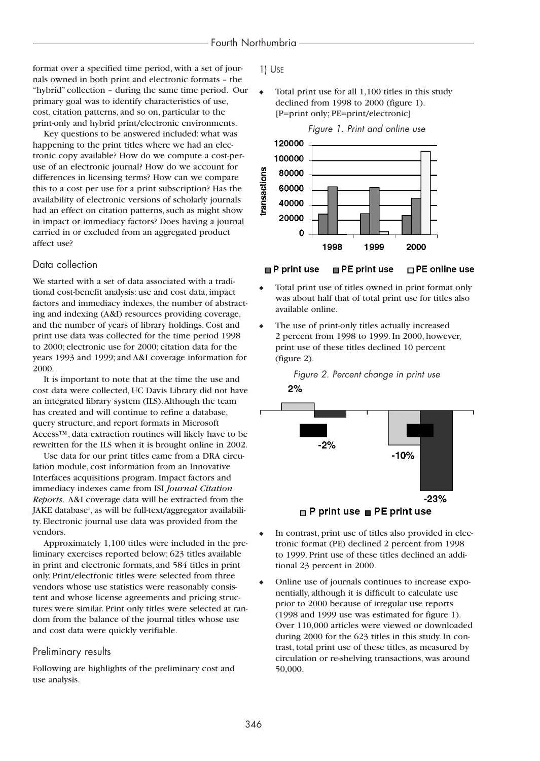format over a specified time period, with a set of journals owned in both print and electronic formats – the "hybrid" collection – during the same time period. Our primary goal was to identify characteristics of use, cost, citation patterns, and so on, particular to the print-only and hybrid print/electronic environments.

Key questions to be answered included: what was happening to the print titles where we had an electronic copy available? How do we compute a cost-peruse of an electronic journal? How do we account for differences in licensing terms? How can we compare this to a cost per use for a print subscription? Has the availability of electronic versions of scholarly journals had an effect on citation patterns, such as might show in impact or immediacy factors? Does having a journal carried in or excluded from an aggregated product affect use?

#### Data collection

We started with a set of data associated with a traditional cost-benefit analysis: use and cost data, impact factors and immediacy indexes, the number of abstracting and indexing (A&I) resources providing coverage, and the number of years of library holdings. Cost and print use data was collected for the time period 1998 to 2000; electronic use for 2000; citation data for the years 1993 and 1999; and A&I coverage information for 2000.

It is important to note that at the time the use and cost data were collected, UC Davis Library did not have an integrated library system (ILS).Although the team has created and will continue to refine a database, query structure, and report formats in Microsoft Access™, data extraction routines will likely have to be rewritten for the ILS when it is brought online in 2002.

Use data for our print titles came from a DRA circulation module, cost information from an Innovative Interfaces acquisitions program. Impact factors and immediacy indexes came from ISI *Journal Citation Reports*. A&I coverage data will be extracted from the JAKE database<sup>1</sup>, as will be full-text/aggregator availability. Electronic journal use data was provided from the vendors.

Approximately 1,100 titles were included in the preliminary exercises reported below; 623 titles available in print and electronic formats, and 584 titles in print only. Print/electronic titles were selected from three vendors whose use statistics were reasonably consistent and whose license agreements and pricing structures were similar. Print only titles were selected at random from the balance of the journal titles whose use and cost data were quickly verifiable.

#### Preliminary results

Following are highlights of the preliminary cost and use analysis.

#### 1) USE

Total print use for all 1,100 titles in this study declined from 1998 to 2000 (figure 1). [P=print only; PE=print/electronic]





#### $\blacksquare$  P print use **□ PE print use**  $\Box$  PE online use

- Total print use of titles owned in print format only was about half that of total print use for titles also available online.
- The use of print-only titles actually increased 2 percent from 1998 to 1999. In 2000, however, print use of these titles declined 10 percent (figure 2).



- In contrast, print use of titles also provided in electronic format (PE) declined 2 percent from 1998 to 1999. Print use of these titles declined an additional 23 percent in 2000.
- Online use of journals continues to increase exponentially, although it is difficult to calculate use prior to 2000 because of irregular use reports (1998 and 1999 use was estimated for figure 1). Over 110,000 articles were viewed or downloaded during 2000 for the 623 titles in this study. In contrast, total print use of these titles, as measured by circulation or re-shelving transactions, was around 50,000.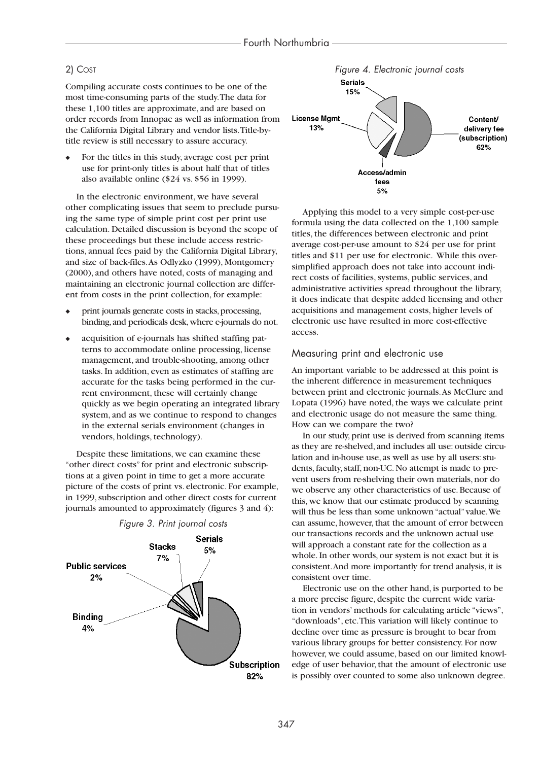#### 2) COST

Compiling accurate costs continues to be one of the most time-consuming parts of the study.The data for these 1,100 titles are approximate, and are based on order records from Innopac as well as information from the California Digital Library and vendor lists.Title-bytitle review is still necessary to assure accuracy.

For the titles in this study, average cost per print use for print-only titles is about half that of titles also available online (\$24 vs. \$56 in 1999).

In the electronic environment, we have several other complicating issues that seem to preclude pursuing the same type of simple print cost per print use calculation. Detailed discussion is beyond the scope of these proceedings but these include access restrictions, annual fees paid by the California Digital Library, and size of back-files.As Odlyzko (1999), Montgomery (2000), and others have noted, costs of managing and maintaining an electronic journal collection are different from costs in the print collection, for example:

- print journals generate costs in stacks, processing, binding,and periodicals desk,where e-journals do not.
- acquisition of e-journals has shifted staffing patterns to accommodate online processing, license management, and trouble-shooting, among other tasks. In addition, even as estimates of staffing are accurate for the tasks being performed in the current environment, these will certainly change quickly as we begin operating an integrated library system, and as we continue to respond to changes in the external serials environment (changes in vendors, holdings, technology).

Despite these limitations, we can examine these "other direct costs" for print and electronic subscriptions at a given point in time to get a more accurate picture of the costs of print vs. electronic. For example, in 1999, subscription and other direct costs for current journals amounted to approximately (figures 3 and 4):





Applying this model to a very simple cost-per-use formula using the data collected on the 1,100 sample titles, the differences between electronic and print average cost-per-use amount to \$24 per use for print titles and \$11 per use for electronic. While this oversimplified approach does not take into account indirect costs of facilities, systems, public services, and administrative activities spread throughout the library, it does indicate that despite added licensing and other acquisitions and management costs, higher levels of electronic use have resulted in more cost-effective access.

#### Measuring print and electronic use

An important variable to be addressed at this point is the inherent difference in measurement techniques between print and electronic journals.As McClure and Lopata (1996) have noted, the ways we calculate print and electronic usage do not measure the same thing. How can we compare the two?

In our study, print use is derived from scanning items as they are re-shelved, and includes all use: outside circulation and in-house use, as well as use by all users: students, faculty, staff, non-UC. No attempt is made to prevent users from re-shelving their own materials, nor do we observe any other characteristics of use. Because of this, we know that our estimate produced by scanning will thus be less than some unknown "actual" value. We can assume, however, that the amount of error between our transactions records and the unknown actual use will approach a constant rate for the collection as a whole. In other words, our system is not exact but it is consistent.And more importantly for trend analysis, it is consistent over time.

Electronic use on the other hand, is purported to be a more precise figure, despite the current wide variation in vendors' methods for calculating article "views", "downloads", etc.This variation will likely continue to decline over time as pressure is brought to bear from various library groups for better consistency. For now however, we could assume, based on our limited knowledge of user behavior, that the amount of electronic use is possibly over counted to some also unknown degree.